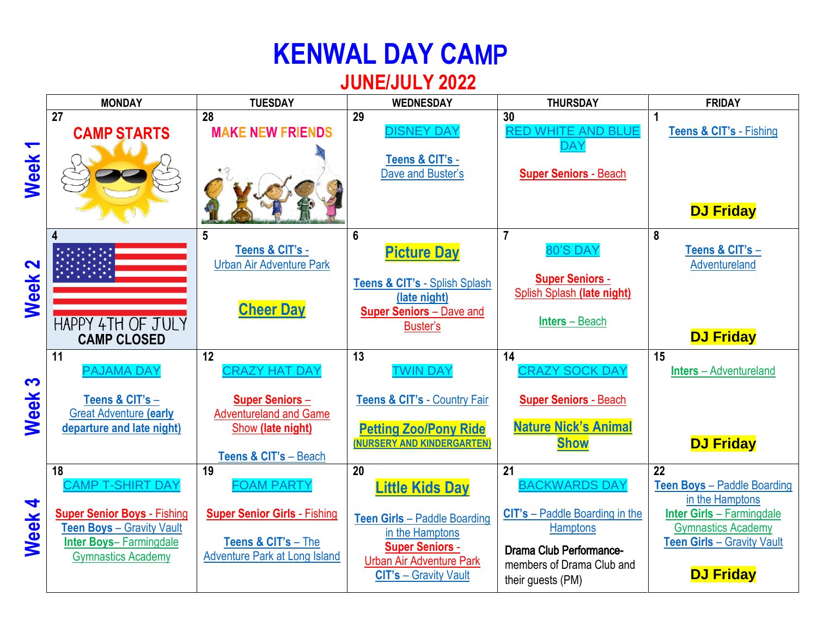## **KENWAL DAY CA**MP

## **JUNE/JULY 2022**

|                                  | <b>MONDAY</b>                                                                                                                                                  | <b>TUESDAY</b>                                                                                                                     | <b>WEDNESDAY</b>                                                                                                                                                             | <b>THURSDAY</b>                                                                                                                                                            | <b>FRIDAY</b>                                                                                                                                                                                      |
|----------------------------------|----------------------------------------------------------------------------------------------------------------------------------------------------------------|------------------------------------------------------------------------------------------------------------------------------------|------------------------------------------------------------------------------------------------------------------------------------------------------------------------------|----------------------------------------------------------------------------------------------------------------------------------------------------------------------------|----------------------------------------------------------------------------------------------------------------------------------------------------------------------------------------------------|
| $\blacktriangledown$<br>Week     | $\overline{27}$<br><b>CAMP STARTS</b>                                                                                                                          | 28<br><b>MAKE NEW FRIENDS</b>                                                                                                      | 29<br><b>DISNEY DAY</b><br>Teens & CIT's -<br>Dave and Buster's                                                                                                              | 30<br><b>RED WHITE AND BLUE</b><br><b>DAY</b><br><b>Super Seniors - Beach</b>                                                                                              | <b>Teens &amp; CIT's - Fishing</b><br><b>DJ Friday</b>                                                                                                                                             |
| $\mathbf{\Omega}$<br><b>Week</b> | 4<br>HAPPY 4TH OF JULY<br><b>CAMP CLOSED</b>                                                                                                                   | 5<br>Teens & CIT's -<br><b>Urban Air Adventure Park</b><br><b>Cheer Day</b>                                                        | 6<br><b>Picture Day</b><br>Teens & CIT's - Splish Splash<br>(late night)<br><b>Super Seniors - Dave and</b><br>Buster's                                                      | $\overline{7}$<br>80'S DAY<br><b>Super Seniors -</b><br>Splish Splash (late night)<br><b>Inters</b> – Beach                                                                | 8<br>Teens & CIT's -<br>Adventureland<br><b>DJ Friday</b>                                                                                                                                          |
| S<br>Week                        | 11<br><b>PAJAMA DAY</b><br>Teens & CIT's -<br><b>Great Adventure (early</b><br>departure and late night)                                                       | 12<br><b>CRAZY HAT DAY</b><br><b>Super Seniors-</b><br><b>Adventureland and Game</b><br>Show (late night)<br>Teens & CIT's - Beach | 13<br><b>TWIN DAY</b><br>Teens & CIT's - Country Fair<br><b>Petting Zoo/Pony Ride</b><br>(NURSERY AND KINDERGARTEN)                                                          | 14<br><b>CRAZY SOCK DAY</b><br><b>Super Seniors - Beach</b><br><b>Nature Nick's Animal</b><br><b>Show</b>                                                                  | 15<br><b>Inters</b> – Adventureland<br><b>DJ Friday</b>                                                                                                                                            |
| 4<br>Week                        | 18<br><b>CAMP T-SHIRT DAY</b><br><b>Super Senior Boys - Fishing</b><br>Teen Boys - Gravity Vault<br><b>Inter Boys-Farmingdale</b><br><b>Gymnastics Academy</b> | 19<br><b>FOAM PARTY</b><br><b>Super Senior Girls - Fishing</b><br>Teens & CIT's - The<br><b>Adventure Park at Long Island</b>      | 20<br><b>Little Kids Day</b><br>Teen Girls - Paddle Boarding<br>in the Hamptons<br><b>Super Seniors -</b><br><b>Urban Air Adventure Park</b><br><b>CIT's - Gravity Vault</b> | 21<br><b>BACKWARDS DAY</b><br><b>CIT's</b> – Paddle Boarding in the<br><b>Hamptons</b><br><b>Drama Club Performance-</b><br>members of Drama Club and<br>their guests (PM) | $\overline{22}$<br><b>Teen Boys - Paddle Boarding</b><br>in the Hamptons<br><b>Inter Girls - Farmingdale</b><br><b>Gymnastics Academy</b><br><b>Teen Girls - Gravity Vault</b><br><b>DJ Friday</b> |